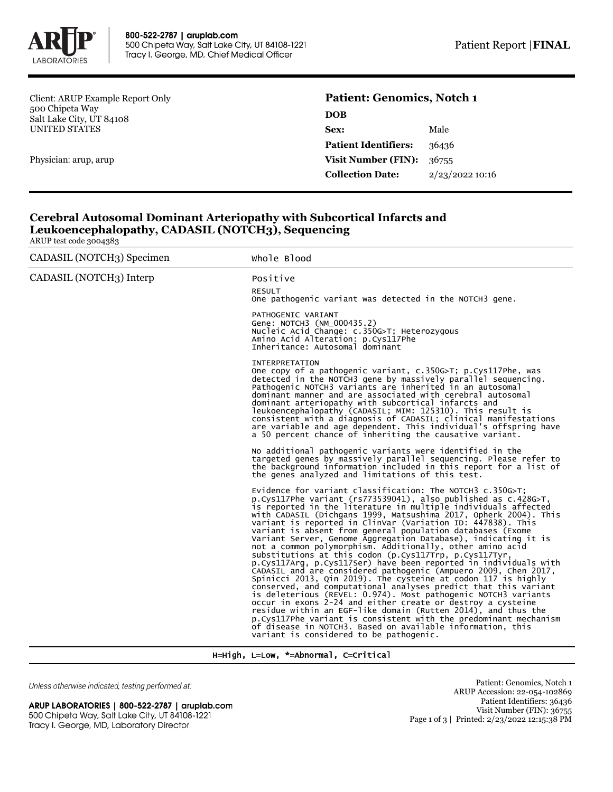

Client: ARUP Example Report Only 500 Chipeta Way Salt Lake City, UT 84108 UNITED STATES

Physician: arup, arup

# **Patient: Genomics, Notch 1 DOB**

| <b>Sex:</b>                        | Male              |
|------------------------------------|-------------------|
| <b>Patient Identifiers:</b>        | 36436             |
| <b>Visit Number (FIN):</b> $36755$ |                   |
| <b>Collection Date:</b>            | $2/23/2022$ 10:16 |

## **Cerebral Autosomal Dominant Arteriopathy with Subcortical Infarcts and Leukoencephalopathy, CADASIL (NOTCH3), Sequencing**

ARUP test code 3004383

| CADASIL (NOTCH3) Specimen | Whole Blood                                                                                                                                                                                                                                                                                                                                                                                                                                                                                                                                                                                                                                                                                                                                                                                                                                                                                                                                                                                                                                                                                                                                                                                                                                                 |
|---------------------------|-------------------------------------------------------------------------------------------------------------------------------------------------------------------------------------------------------------------------------------------------------------------------------------------------------------------------------------------------------------------------------------------------------------------------------------------------------------------------------------------------------------------------------------------------------------------------------------------------------------------------------------------------------------------------------------------------------------------------------------------------------------------------------------------------------------------------------------------------------------------------------------------------------------------------------------------------------------------------------------------------------------------------------------------------------------------------------------------------------------------------------------------------------------------------------------------------------------------------------------------------------------|
| CADASIL (NOTCH3) Interp   | Positive<br><b>RESULT</b><br>One pathogenic variant was detected in the NOTCH3 gene.                                                                                                                                                                                                                                                                                                                                                                                                                                                                                                                                                                                                                                                                                                                                                                                                                                                                                                                                                                                                                                                                                                                                                                        |
|                           | PATHOGENIC VARIANT<br>Gene: NOTCH3 (NM_000435.2)<br>Nucleic Acid Change: c.350G>T; Heterozygous<br>Amino Acid Alteration: p.Cys117Phe<br>Inheritance: Autosomal dominant                                                                                                                                                                                                                                                                                                                                                                                                                                                                                                                                                                                                                                                                                                                                                                                                                                                                                                                                                                                                                                                                                    |
|                           | <b>INTERPRETATION</b><br>One copy of a pathogenic variant, c.350G>T; p.Cys117Phe, was<br>detected in the NOTCH3 gene by massively parallel sequencing.<br>Pathogenic NOTCH3 variants are inherited in an autosomal<br>dominant manner and are associated with cerebral autosomal<br>dominant arteriopathy with subcortical infarcts and<br>leukoencephalopathy (CADASIL; MIM: 125310). This result is<br>consistent with a diagnosis of CADASIL; clinical manifestations<br>are variable and age dependent. This individual's offspring have<br>a 50 percent chance of inheriting the causative variant.                                                                                                                                                                                                                                                                                                                                                                                                                                                                                                                                                                                                                                                    |
|                           | No additional pathogenic variants were identified in the<br>targeted genes by massively parallel sequencing. Please refer to<br>the background information included in this report for a list of<br>the genes analyzed and limitations of this test.                                                                                                                                                                                                                                                                                                                                                                                                                                                                                                                                                                                                                                                                                                                                                                                                                                                                                                                                                                                                        |
|                           | Evidence for variant classification: The NOTCH3 $c.350G > T$ ;<br>p.Cys117Phe variant (rs773539041), also published as $c.428G > T$ ,<br>is reported in the literature in multiple individuals affected<br>with CADASIL (Dichgans 1999, Matsushima 2017, Opherk 2004). This<br>variant is reported in ClinVar (Variation ID: 447838). This<br>variant is absent from general population databases (Exome<br>Variant Server, Genome Aggregation Database), indicating it is<br>not a common polymorphism. Additionally, other amino acid<br>substitutions at this codon (p.Cys117rrp, p.Cys117Tyr,<br>p.Cys117Arg, p.Cys117Ser) have been reported in individuals with<br>CADASIL and are considered pathogenic (Ampuero 2009, Chen 2017,<br>spinicci 2013, Qin 2019). The cysteine at codon 117 is highly<br>conserved, and computational analyses predict that this variant<br>is deleterious (REVEL: 0.974). Most pathogenic NOTCH3 variants<br>occur in exons 2-24 and either create or destroy a cysteine<br>residue within an EGF-like domain (Rutten 2014), and thus the<br>p.Cys117Phe variant is consistent with the predominant mechanism<br>of disease in NOTCH3. Based on available information, this<br>variant is considered to be pathogenic. |

H=High, L=Low, \*=Abnormal, C=Critical

Unless otherwise indicated, testing performed at:

ARUP LABORATORIES | 800-522-2787 | aruplab.com 500 Chipeta Way, Salt Lake City, UT 84108-1221 Tracy I. George, MD, Laboratory Director

Patient: Genomics, Notch 1 ARUP Accession: 22-054-102869 Patient Identifiers: 36436 Visit Number (FIN): 36755 Page 1 of 3 | Printed: 2/23/2022 12:15:38 PM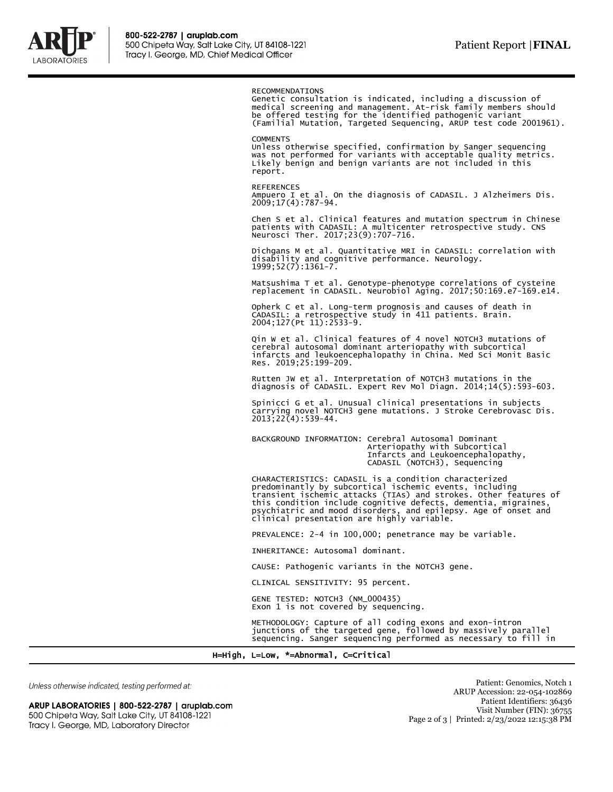

#### RECOMMENDATIONS

Genetic consultation is indicated, including a discussion of medical screening and management. At-risk family members should be offered testing for the identified pathogenic variant (Familial Mutation, Targeted Sequencing, ARUP test code 2001961).

#### **COMMENTS**

Unless otherwise specified, confirmation by Sanger sequencing was not performed for variants with acceptable quality metrics. Likely benign and benign variants are not included in this report.

#### REFERENCES

Ampuero I et al. On the diagnosis of CADASIL. J Alzheimers Dis. 2009;17(4):787-94.

Chen S et al. Clinical features and mutation spectrum in Chinese patients with CADASIL: A multicenter retrospective study. CNS Neurosci Ther. 2017;23(9):707-716.

Dichgans M et al. Quantitative MRI in CADASIL: correlation with disability and cognitive performance. Neurology. 1999;52(7):1361-7.

Matsushima T et al. Genotype-phenotype correlations of cysteine replacement in CADASIL. Neurobiol Aging. 2017;50:169.e7-169.e14.

Opherk C et al. Long-term prognosis and causes of death in CADASIL: a retrospective study in 411 patients. Brain. 2004;127(Pt 11):2533-9.

Qin W et al. Clinical features of 4 novel NOTCH3 mutations of cerebral autosomal dominant arteriopathy with subcortical infarcts and leukoencephalopathy in China. Med Sci Monit Basic Res. 2019;25:199-209.

Rutten JW et al. Interpretation of NOTCH3 mutations in the diagnosis of CADASIL. Expert Rev Mol Diagn. 2014;14(5):593-603.

Spinicci G et al. Unusual clinical presentations in subjects carrying novel NOTCH3 gene mutations. J Stroke Cerebrovasc Dis. 2013;22(4):539-44.

BACKGROUND INFORMATION: Cerebral Autosomal Dominant Arteriopathy with Subcortical Infarcts and Leukoencephalopathy, CADASIL (NOTCH3), Sequencing

CHARACTERISTICS: CADASIL is a condition characterized predominantly by subcortical ischemic events, including transient ischemic attacks (TIAs) and strokes. Other features of this condition include cognitive defects, dementia, migraines, psychiatric and mood disorders, and epilepsy. Age of onset and clinical presentation are highly variable.

PREVALENCE: 2-4 in 100,000; penetrance may be variable.

INHERITANCE: Autosomal dominant.

CAUSE: Pathogenic variants in the NOTCH3 gene.

CLINICAL SENSITIVITY: 95 percent.

GENE TESTED: NOTCH3 (NM\_000435) Exon 1 is not covered by sequencing.

METHODOLOGY: Capture of all coding exons and exon-intron junctions of the targeted gene, followed by massively parallel sequencing. Sanger sequencing performed as necessary to fill in

H=High, L=Low, \*=Abnormal, C=Critical

Unless otherwise indicated, testing performed at:

ARUP LABORATORIES | 800-522-2787 | aruplab.com 500 Chipeta Way, Salt Lake City, UT 84108-1221 Tracy I. George, MD, Laboratory Director

Patient: Genomics, Notch 1 ARUP Accession: 22-054-102869 Patient Identifiers: 36436 Visit Number (FIN): 36755 Page 2 of 3 | Printed: 2/23/2022 12:15:38 PM